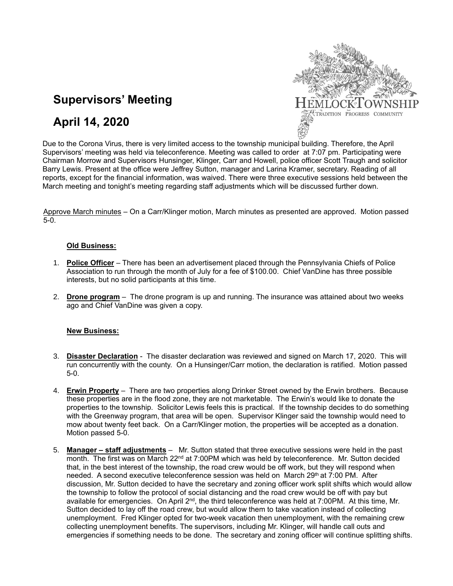

# **Supervisors' Meeting**

# **April 14, 2020**

Due to the Corona Virus, there is very limited access to the township municipal building. Therefore, the April Supervisors' meeting was held via teleconference. Meeting was called to order at 7:07 pm. Participating were Chairman Morrow and Supervisors Hunsinger, Klinger, Carr and Howell, police officer Scott Traugh and solicitor Barry Lewis. Present at the office were Jeffrey Sutton, manager and Larina Kramer, secretary. Reading of all reports, except for the financial information, was waived. There were three executive sessions held between the March meeting and tonight's meeting regarding staff adjustments which will be discussed further down.

Approve March minutes – On a Carr/Klinger motion, March minutes as presented are approved. Motion passed 5-0.

### **Old Business:**

- 1. **Police Officer** There has been an advertisement placed through the Pennsylvania Chiefs of Police Association to run through the month of July for a fee of \$100.00. Chief VanDine has three possible interests, but no solid participants at this time.
- 2. **Drone program** The drone program is up and running. The insurance was attained about two weeks ago and Chief VanDine was given a copy.

### **New Business:**

- 3. **Disaster Declaration** The disaster declaration was reviewed and signed on March 17, 2020. This will run concurrently with the county. On a Hunsinger/Carr motion, the declaration is ratified. Motion passed 5-0.
- 4. **Erwin Property** There are two properties along Drinker Street owned by the Erwin brothers. Because these properties are in the flood zone, they are not marketable. The Erwin's would like to donate the properties to the township. Solicitor Lewis feels this is practical. If the township decides to do something with the Greenway program, that area will be open. Supervisor Klinger said the township would need to mow about twenty feet back. On a Carr/Klinger motion, the properties will be accepted as a donation. Motion passed 5-0.
- 5. **Manager – staff adjustments** Mr. Sutton stated that three executive sessions were held in the past month. The first was on March 22<sup>nd</sup> at 7:00PM which was held by teleconference. Mr. Sutton decided that, in the best interest of the township, the road crew would be off work, but they will respond when needed. A second executive teleconference session was held on March 29<sup>th</sup> at 7:00 PM. After discussion, Mr. Sutton decided to have the secretary and zoning officer work split shifts which would allow the township to follow the protocol of social distancing and the road crew would be off with pay but available for emergencies. On April 2<sup>nd</sup>, the third teleconference was held at 7:00PM. At this time, Mr. Sutton decided to lay off the road crew, but would allow them to take vacation instead of collecting unemployment. Fred Klinger opted for two-week vacation then unemployment, with the remaining crew collecting unemployment benefits. The supervisors, including Mr. Klinger, will handle call outs and emergencies if something needs to be done. The secretary and zoning officer will continue splitting shifts.